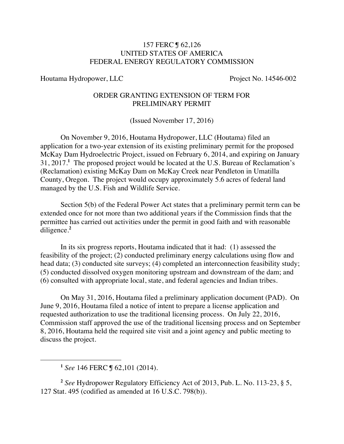## 157 FERC ¶ 62,126 UNITED STATES OF AMERICA FEDERAL ENERGY REGULATORY COMMISSION

Houtama Hydropower, LLC Project No. 14546-002

## ORDER GRANTING EXTENSION OF TERM FOR PRELIMINARY PERMIT

(Issued November 17, 2016)

On November 9, 2016, Houtama Hydropower, LLC (Houtama) filed an application for a two-year extension of its existing preliminary permit for the proposed McKay Dam Hydroelectric Project, issued on February 6, 2014, and expiring on January 31, 2017. **1** The proposed project would be located at the U.S. Bureau of Reclamation's (Reclamation) existing McKay Dam on McKay Creek near Pendleton in Umatilla County, Oregon. The project would occupy approximately 5.6 acres of federal land managed by the U.S. Fish and Wildlife Service.

Section 5(b) of the Federal Power Act states that a preliminary permit term can be extended once for not more than two additional years if the Commission finds that the permittee has carried out activities under the permit in good faith and with reasonable diligence. **2**

In its six progress reports, Houtama indicated that it had: (1) assessed the feasibility of the project; (2) conducted preliminary energy calculations using flow and head data; (3) conducted site surveys; (4) completed an interconnection feasibility study; (5) conducted dissolved oxygen monitoring upstream and downstream of the dam; and (6) consulted with appropriate local, state, and federal agencies and Indian tribes.

On May 31, 2016, Houtama filed a preliminary application document (PAD). On June 9, 2016, Houtama filed a notice of intent to prepare a license application and requested authorization to use the traditional licensing process. On July 22, 2016, Commission staff approved the use of the traditional licensing process and on September 8, 2016, Houtama held the required site visit and a joint agency and public meeting to discuss the project.

**<sup>1</sup>** *See* 146 FERC ¶ 62,101 (2014).

 $\overline{a}$ 

**<sup>2</sup>** *See* Hydropower Regulatory Efficiency Act of 2013, Pub. L. No. 113-23, § 5, 127 Stat. 495 (codified as amended at 16 U.S.C. 798(b)).